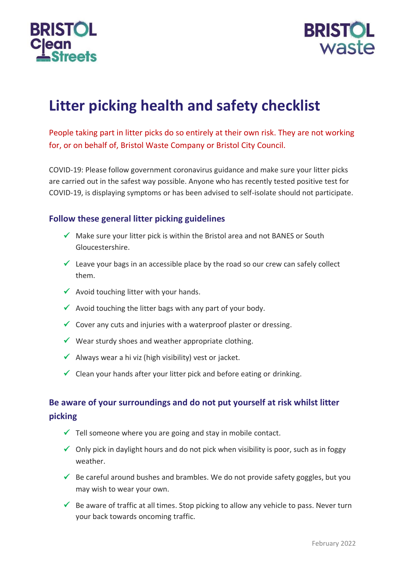



# **Litter picking health and safety checklist**

People taking part in litter picks do so entirely at their own risk. They are not working for, or on behalf of, Bristol Waste Company or Bristol City Council.

COVID-19: Please follow government coronavirus guidance and make sure your litter picks are carried out in the safest way possible. Anyone who has recently tested positive test for COVID-19, is displaying symptoms or has been advised to self-isolate should not participate.

#### **Follow these general litter picking guidelines**

- $\checkmark$  Make sure your litter pick is within the Bristol area and not BANES or South Gloucestershire.
- $\checkmark$  Leave your bags in an accessible place by the road so our crew can safely collect them.
- $\checkmark$  Avoid touching litter with your hands.
- $\checkmark$  Avoid touching the litter bags with any part of your body.
- $\checkmark$  Cover any cuts and injuries with a waterproof plaster or dressing.
- $\checkmark$  Wear sturdy shoes and weather appropriate clothing.
- $\checkmark$  Always wear a hi viz (high visibility) vest or jacket.
- $\checkmark$  Clean your hands after your litter pick and before eating or drinking.

# **Be aware of your surroundings and do not put yourself at risk whilst litter picking**

- $\checkmark$  Tell someone where you are going and stay in mobile contact.
- $\checkmark$  Only pick in daylight hours and do not pick when visibility is poor, such as in foggy weather.
- $\checkmark$  Be careful around bushes and brambles. We do not provide safety goggles, but you may wish to wear your own.
- $\checkmark$  Be aware of traffic at all times. Stop picking to allow any vehicle to pass. Never turn your back towards oncoming traffic.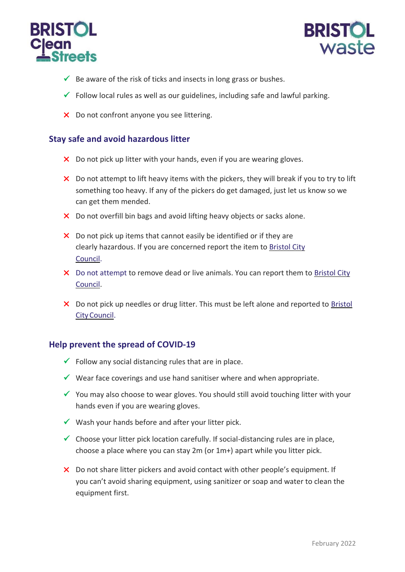



- $\checkmark$  Be aware of the risk of ticks and insects in long grass or bushes.
- $\checkmark$  Follow local rules as well as our guidelines, including safe and lawful parking.
- X Do not confront anyone you see littering.

#### **Stay safe and avoid hazardous litter**

- X Do not pick up litter with your hands, even if you are wearing gloves.
- $\times$  Do not attempt to lift heavy items with the pickers, they will break if you to try to lift something too heavy. If any of the pickers do get damaged, just let us know so we can get them mended.
- X Do not overfill bin bags and avoid lifting heavy objects or sacks alone.
- $\times$  Do not pick up items that cannot easily be identified or if they are clearly hazardous. If you are concerned report the item to [Bristol City](https://www.bristol.gov.uk/streets-travel/street-that-needs-cleaning) [Council.](https://www.bristol.gov.uk/streets-travel/street-that-needs-cleaning)
- X Do not attempt to remove dead or live animals. You can report them to [Bristol City](https://www.bristol.gov.uk/streets-travel/report-a-dead-animal-that-needs-removing) [Council.](https://www.bristol.gov.uk/streets-travel/report-a-dead-animal-that-needs-removing)
- X Do not pick up needles or drug litter. This must be left alone and reported to Bristol [CityCouncil.](https://www.bristol.gov.uk/streets-travel/street-that-needs-cleaning)

#### **Help prevent the spread of COVID-19**

- $\checkmark$  Follow any social distancing rules that are in place.
- $\checkmark$  Wear face coverings and use hand sanitiser where and when appropriate.
- $\checkmark$  You may also choose to wear gloves. You should still avoid touching litter with your hands even if you are wearing gloves.
- $\checkmark$  Wash your hands before and after your litter pick.
- $\checkmark$  Choose your litter pick location carefully. If social-distancing rules are in place, choose a place where you can stay 2m (or 1m+) apart while you litter pick.
- X Do not share litter pickers and avoid contact with other people's equipment. If you can't avoid sharing equipment, using sanitizer or soap and water to clean the equipment first.